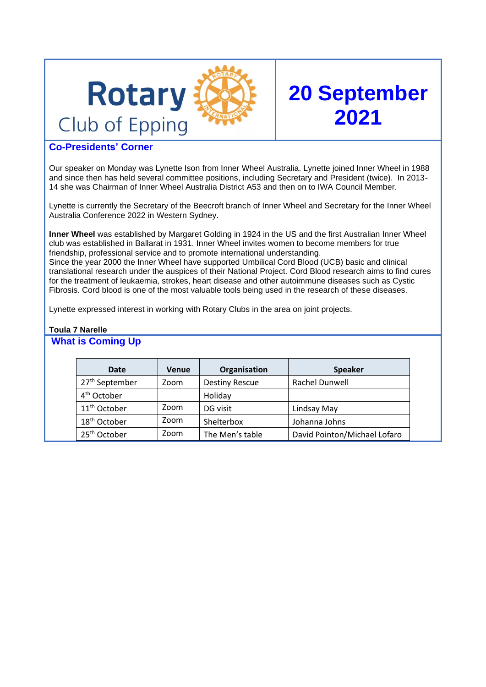

# **20 September 2021**

# **Co-Presidents' Corner**

Our speaker on Monday was Lynette Ison from Inner Wheel Australia. Lynette joined Inner Wheel in 1988 and since then has held several committee positions, including Secretary and President (twice). In 2013- 14 she was Chairman of Inner Wheel Australia District A53 and then on to IWA Council Member.

Lynette is currently the Secretary of the Beecroft branch of Inner Wheel and Secretary for the Inner Wheel Australia Conference 2022 in Western Sydney.

**Inner Wheel** was established by Margaret Golding in 1924 in the US and the first Australian Inner Wheel club was established in Ballarat in 1931. Inner Wheel invites women to become members for true friendship, professional service and to promote international understanding. Since the year 2000 the Inner Wheel have supported Umbilical Cord Blood (UCB) basic and clinical translational research under the auspices of their National Project. Cord Blood research aims to find cures for the treatment of leukaemia, strokes, heart disease and other autoimmune diseases such as Cystic Fibrosis. Cord blood is one of the most valuable tools being used in the research of these diseases.

Lynette expressed interest in working with Rotary Clubs in the area on joint projects.

## **Toula 7 Narelle**

## **What is Coming Up**

| Date                       | <b>Venue</b> | Organisation          | <b>Speaker</b>               |
|----------------------------|--------------|-----------------------|------------------------------|
| 27 <sup>th</sup> September | Zoom         | <b>Destiny Rescue</b> | Rachel Dunwell               |
| 4 <sup>th</sup> October    |              | Holiday               |                              |
| 11 <sup>th</sup> October   | Zoom         | DG visit              | Lindsay May                  |
| 18 <sup>th</sup> October   | Zoom         | Shelterbox            | Johanna Johns                |
| 25 <sup>th</sup> October   | Zoom         | The Men's table       | David Pointon/Michael Lofaro |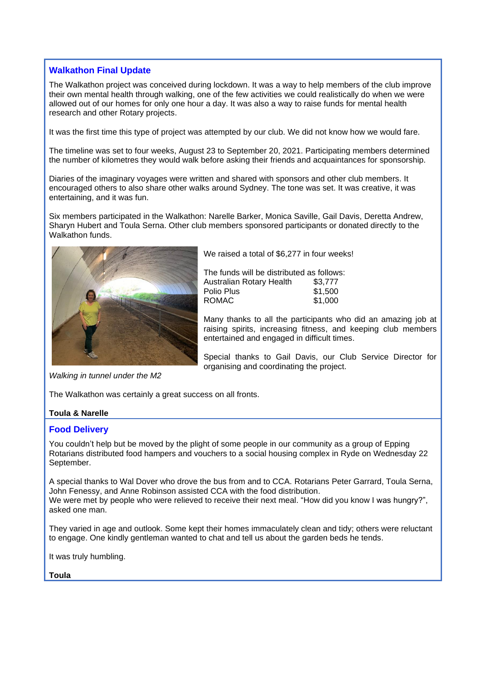## **Walkathon Final Update**

The Walkathon project was conceived during lockdown. It was a way to help members of the club improve their own mental health through walking, one of the few activities we could realistically do when we were allowed out of our homes for only one hour a day. It was also a way to raise funds for mental health research and other Rotary projects.

It was the first time this type of project was attempted by our club. We did not know how we would fare.

The timeline was set to four weeks, August 23 to September 20, 2021. Participating members determined the number of kilometres they would walk before asking their friends and acquaintances for sponsorship.

Diaries of the imaginary voyages were written and shared with sponsors and other club members. It encouraged others to also share other walks around Sydney. The tone was set. It was creative, it was entertaining, and it was fun.

Six members participated in the Walkathon: Narelle Barker, Monica Saville, Gail Davis, Deretta Andrew, Sharyn Hubert and Toula Serna. Other club members sponsored participants or donated directly to the Walkathon funds.



We raised a total of \$6,277 in four weeks!

The funds will be distributed as follows: Australian Rotary Health \$3,777 Polio Plus \$1,500<br>ROMAC \$1,000 ROMAC.

Many thanks to all the participants who did an amazing job at raising spirits, increasing fitness, and keeping club members entertained and engaged in difficult times.

Special thanks to Gail Davis, our Club Service Director for organising and coordinating the project.

*Walking in tunnel under the M2*

The Walkathon was certainly a great success on all fronts.

#### **Toula & Narelle**

#### **Food Delivery**

You couldn't help but be moved by the plight of some people in our community as a group of Epping Rotarians distributed food hampers and vouchers to a social housing complex in Ryde on Wednesday 22 September.

A special thanks to Wal Dover who drove the bus from and to CCA. Rotarians Peter Garrard, Toula Serna, John Fenessy, and Anne Robinson assisted CCA with the food distribution. We were met by people who were relieved to receive their next meal. "How did you know I was hungry?", asked one man.

They varied in age and outlook. Some kept their homes immaculately clean and tidy; others were reluctant to engage. One kindly gentleman wanted to chat and tell us about the garden beds he tends.

It was truly humbling.

#### **Toula**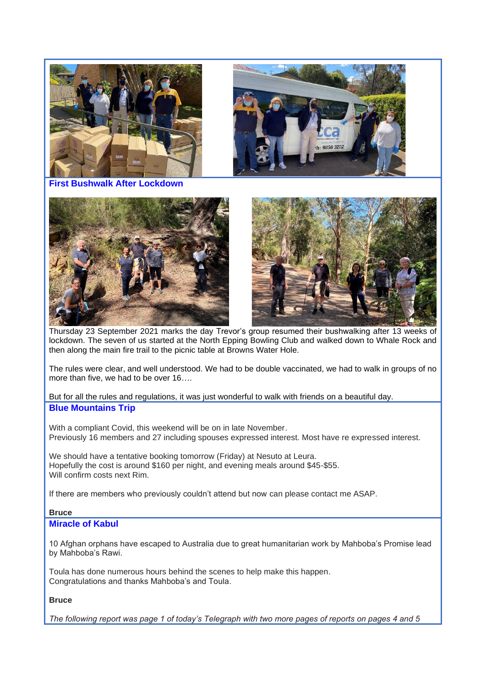

Thursday 23 September 2021 marks the day Trevor's group resumed their bushwalking after 13 weeks of lockdown. The seven of us started at the North Epping Bowling Club and walked down to Whale Rock and then along the main fire trail to the picnic table at Browns Water Hole.

The rules were clear, and well understood. We had to be double vaccinated, we had to walk in groups of no more than five, we had to be over 16….

But for all the rules and regulations, it was just wonderful to walk with friends on a beautiful day. **Blue Mountains Trip**

With a compliant Covid, this weekend will be on in late November. Previously 16 members and 27 including spouses expressed interest. Most have re expressed interest.

We should have a tentative booking tomorrow (Friday) at Nesuto at Leura. Hopefully the cost is around \$160 per night, and evening meals around \$45-\$55. Will confirm costs next Rim.

If there are members who previously couldn't attend but now can please contact me ASAP.

#### **Bruce**

### **Miracle of Kabul**

10 Afghan orphans have escaped to Australia due to great humanitarian work by Mahboba's Promise lead by Mahboba's Rawi.

Toula has done numerous hours behind the scenes to help make this happen. Congratulations and thanks Mahboba's and Toula.

#### **Bruce**

*The following report was page 1 of today's Telegraph with two more pages of reports on pages 4 and 5*